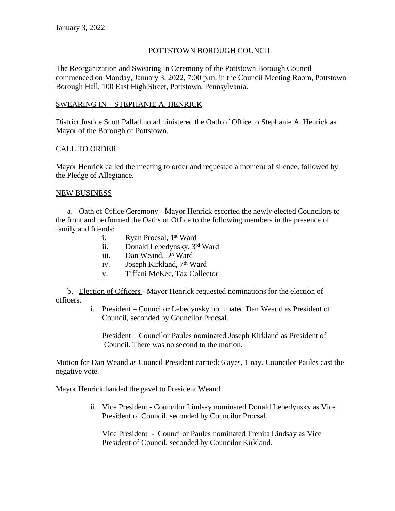## POTTSTOWN BOROUGH COUNCIL

The Reorganization and Swearing in Ceremony of the Pottstown Borough Council commenced on Monday, January 3, 2022, 7:00 p.m. in the Council Meeting Room, Pottstown Borough Hall, 100 East High Street, Pottstown, Pennsylvania.

### SWEARING IN – STEPHANIE A. HENRICK

District Justice Scott Palladino administered the Oath of Office to Stephanie A. Henrick as Mayor of the Borough of Pottstown.

### CALL TO ORDER

Mayor Henrick called the meeting to order and requested a moment of silence, followed by the Pledge of Allegiance.

## NEW BUSINESS

a. Oath of Office Ceremony - Mayor Henrick escorted the newly elected Councilors to the front and performed the Oaths of Office to the following members in the presence of family and friends:

- i. Ryan Procsal, 1st Ward
- ii. Donald Lebedynsky, 3rd Ward
- iii. Dan Weand, 5<sup>th</sup> Ward
- iv. Joseph Kirkland, 7th Ward
- v. Tiffani McKee, Tax Collector

b. Election of Officers - Mayor Henrick requested nominations for the election of officers.

> i. President – Councilor Lebedynsky nominated Dan Weand as President of Council, seconded by Councilor Procsal.

 President – Councilor Paules nominated Joseph Kirkland as President of Council. There was no second to the motion.

Motion for Dan Weand as Council President carried: 6 ayes, 1 nay. Councilor Paules cast the negative vote.

Mayor Henrick handed the gavel to President Weand.

ii. Vice President - Councilor Lindsay nominated Donald Lebedynsky as Vice President of Council, seconded by Councilor Procsal.

 Vice President - Councilor Paules nominated Trenita Lindsay as Vice President of Council, seconded by Councilor Kirkland.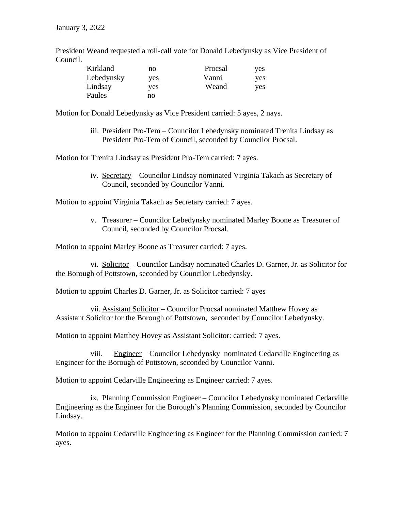President Weand requested a roll-call vote for Donald Lebedynsky as Vice President of Council.

| Kirkland   | no  | Procsal | yes |
|------------|-----|---------|-----|
| Lebedynsky | ves | Vanni   | yes |
| Lindsay    | yes | Weand   | yes |
| Paules     | no  |         |     |

Motion for Donald Lebedynsky as Vice President carried: 5 ayes, 2 nays.

iii. President Pro-Tem – Councilor Lebedynsky nominated Trenita Lindsay as President Pro-Tem of Council, seconded by Councilor Procsal.

Motion for Trenita Lindsay as President Pro-Tem carried: 7 ayes.

iv. Secretary – Councilor Lindsay nominated Virginia Takach as Secretary of Council, seconded by Councilor Vanni.

Motion to appoint Virginia Takach as Secretary carried: 7 ayes.

v. Treasurer – Councilor Lebedynsky nominated Marley Boone as Treasurer of Council, seconded by Councilor Procsal.

Motion to appoint Marley Boone as Treasurer carried: 7 ayes.

vi. Solicitor – Councilor Lindsay nominated Charles D. Garner, Jr. as Solicitor for the Borough of Pottstown, seconded by Councilor Lebedynsky.

Motion to appoint Charles D. Garner, Jr. as Solicitor carried: 7 ayes

vii. Assistant Solicitor – Councilor Procsal nominated Matthew Hovey as Assistant Solicitor for the Borough of Pottstown, seconded by Councilor Lebedynsky.

Motion to appoint Matthey Hovey as Assistant Solicitor: carried: 7 ayes.

viii. Engineer – Councilor Lebedynsky nominated Cedarville Engineering as Engineer for the Borough of Pottstown, seconded by Councilor Vanni.

Motion to appoint Cedarville Engineering as Engineer carried: 7 ayes.

ix. Planning Commission Engineer – Councilor Lebedynsky nominated Cedarville Engineering as the Engineer for the Borough's Planning Commission, seconded by Councilor Lindsay.

Motion to appoint Cedarville Engineering as Engineer for the Planning Commission carried: 7 ayes.